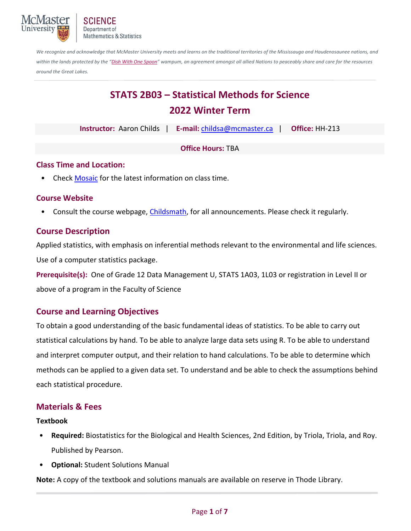

Department of **Mathematics & Statistics** 

*We recognize and acknowledge that McMaster University meets and learns on the traditional territories of the Mississauga and Haudenosaunee nations, and*  within the lands protected by the "Dish With One Spoon" wampum, an agreement amongst all allied Nations to peaceably share and care for the resources *around the Great Lakes.*

# **STATS 2B03 – Statistical Methods for Science 2022 Winter Term**

| <b>Instructor: Aaron Childs</b> | E-mail: childsa@mcmaster.ca | Office: HH-213 |
|---------------------------------|-----------------------------|----------------|
|---------------------------------|-----------------------------|----------------|

**Office Hours:** TBA

#### **Class Time and Location:**

• Check Mosaic for the latest information on class time.

## **Course Website**

• Consult the course webpage, Childsmath, for all announcements. Please check it regularly.

# **Course Description**

Applied statistics, with emphasis on inferential methods relevant to the environmental and life sciences. Use of a computer statistics package.

**Prerequisite(s):** One of Grade 12 Data Management U, STATS 1A03, 1L03 or registration in Level II or above of a program in the Faculty of Science

# **Course and Learning Objectives**

To obtain a good understanding of the basic fundamental ideas of statistics. To be able to carry out statistical calculations by hand. To be able to analyze large data sets using R. To be able to understand and interpret computer output, and their relation to hand calculations. To be able to determine which methods can be applied to a given data set. To understand and be able to check the assumptions behind each statistical procedure.

# **Materials & Fees**

#### **Textbook**

- **Required:** Biostatistics for the Biological and Health Sciences, 2nd Edition, by Triola, Triola, and Roy. Published by Pearson.
- **Optional:** Student Solutions Manual

**Note:** A copy of the textbook and solutions manuals are available on reserve in Thode Library.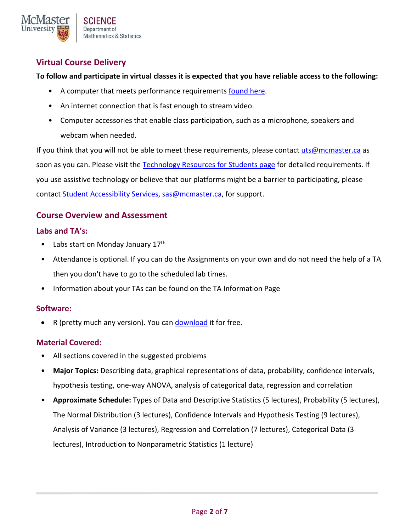

# **Virtual Course Delivery**

**To follow and participate in virtual classes it is expected that you have reliable access to the following:** 

- A computer that meets performance requirements found here.
- An internet connection that is fast enough to stream video.
- Computer accessories that enable class participation, such as a microphone, speakers and webcam when needed.

If you think that you will not be able to meet these requirements, please contact uts@mcmaster.ca as soon as you can. Please visit the Technology Resources for Students page for detailed requirements. If you use assistive technology or believe that our platforms might be a barrier to participating, please contact Student Accessibility Services, sas@mcmaster.ca, for support.

# **Course Overview and Assessment**

#### **Labs and TA's:**

- Labs start on Monday January  $17<sup>th</sup>$
- Attendance is optional. If you can do the Assignments on your own and do not need the help of a TA then you don't have to go to the scheduled lab times.
- Information about your TAs can be found on the TA Information Page

#### **Software:**

• R (pretty much any version). You can download it for free.

#### **Material Covered:**

- All sections covered in the suggested problems
- **Major Topics:** Describing data, graphical representations of data, probability, confidence intervals, hypothesis testing, one‐way ANOVA, analysis of categorical data, regression and correlation
- **Approximate Schedule:** Types of Data and Descriptive Statistics (5 lectures), Probability (5 lectures), The Normal Distribution (3 lectures), Confidence Intervals and Hypothesis Testing (9 lectures), Analysis of Variance (3 lectures), Regression and Correlation (7 lectures), Categorical Data (3 lectures), Introduction to Nonparametric Statistics (1 lecture)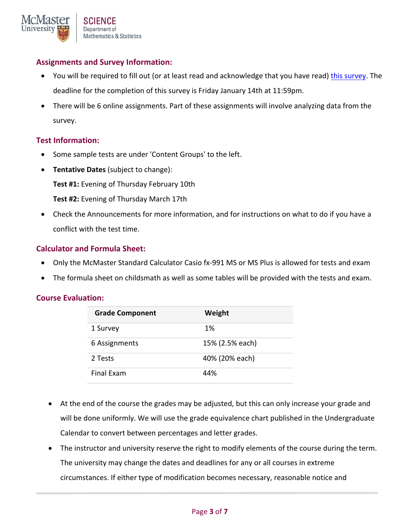# **Assignments and Survey Information:**

- You will be required to fill out (or at least read and acknowledge that you have read) this survey. The deadline for the completion of this survey is Friday January 14th at 11:59pm.
- There will be 6 online assignments. Part of these assignments will involve analyzing data from the survey.

#### **Test Information:**

- Some sample tests are under 'Content Groups' to the left.
- **Tentative Dates** (subject to change): **Test #1:** Evening of Thursday February 10th **Test #2:** Evening of Thursday March 17th
- Check the Announcements for more information, and for instructions on what to do if you have a conflict with the test time.

#### **Calculator and Formula Sheet:**

- Only the McMaster Standard Calculator Casio fx-991 MS or MS Plus is allowed for tests and exam
- The formula sheet on childsmath as well as some tables will be provided with the tests and exam.

#### **Course Evaluation:**

| <b>Grade Component</b> | Weight          |
|------------------------|-----------------|
| 1 Survey               | 1%              |
| 6 Assignments          | 15% (2.5% each) |
| 2 Tests                | 40% (20% each)  |
| Final Exam             | 44%             |

- At the end of the course the grades may be adjusted, but this can only increase your grade and will be done uniformly. We will use the grade equivalence chart published in the Undergraduate Calendar to convert between percentages and letter grades.
- The instructor and university reserve the right to modify elements of the course during the term. The university may change the dates and deadlines for any or all courses in extreme circumstances. If either type of modification becomes necessary, reasonable notice and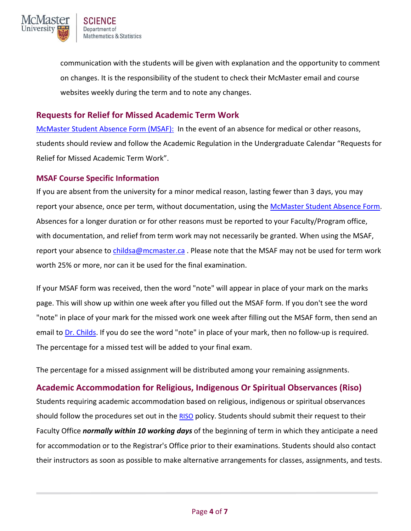

communication with the students will be given with explanation and the opportunity to comment on changes. It is the responsibility of the student to check their McMaster email and course websites weekly during the term and to note any changes.

## **Requests for Relief for Missed Academic Term Work**

McMaster Student Absence Form (MSAF): In the event of an absence for medical or other reasons, students should review and follow the Academic Regulation in the Undergraduate Calendar "Requests for Relief for Missed Academic Term Work".

#### **MSAF Course Specific Information**

If you are absent from the university for a minor medical reason, lasting fewer than 3 days, you may report your absence, once per term, without documentation, using the McMaster Student Absence Form. Absences for a longer duration or for other reasons must be reported to your Faculty/Program office, with documentation, and relief from term work may not necessarily be granted. When using the MSAF, report your absence to childsa@mcmaster.ca. Please note that the MSAF may not be used for term work worth 25% or more, nor can it be used for the final examination.

If your MSAF form was received, then the word "note" will appear in place of your mark on the marks page. This will show up within one week after you filled out the MSAF form. If you don't see the word "note" in place of your mark for the missed work one week after filling out the MSAF form, then send an email to Dr. Childs. If you do see the word "note" in place of your mark, then no follow‐up is required. The percentage for a missed test will be added to your final exam.

The percentage for a missed assignment will be distributed among your remaining assignments.

## **Academic Accommodation for Religious, Indigenous Or Spiritual Observances (Riso)**

Students requiring academic accommodation based on religious, indigenous or spiritual observances should follow the procedures set out in the RISO policy. Students should submit their request to their Faculty Office *normally within 10 working days* of the beginning of term in which they anticipate a need for accommodation or to the Registrar's Office prior to their examinations. Students should also contact their instructors as soon as possible to make alternative arrangements for classes, assignments, and tests.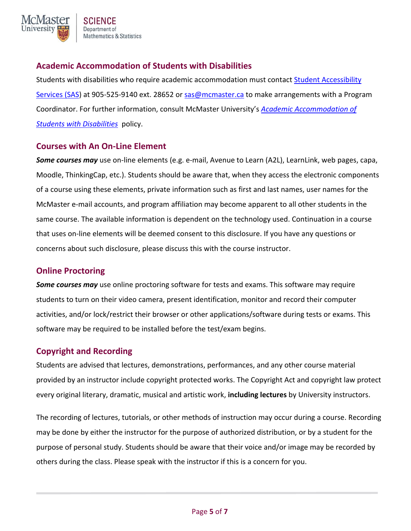

# **Academic Accommodation of Students with Disabilities**

Students with disabilities who require academic accommodation must contact Student Accessibility Services (SAS) at 905-525-9140 ext. 28652 or sas@mcmaster.ca to make arrangements with a Program Coordinator. For further information, consult McMaster University's *Academic Accommodation of Students with Disabilities* policy.

#### **Courses with An On‐Line Element**

*Some courses may* use on‐line elements (e.g. e‐mail, Avenue to Learn (A2L), LearnLink, web pages, capa, Moodle, ThinkingCap, etc.). Students should be aware that, when they access the electronic components of a course using these elements, private information such as first and last names, user names for the McMaster e‐mail accounts, and program affiliation may become apparent to all other students in the same course. The available information is dependent on the technology used. Continuation in a course that uses on‐line elements will be deemed consent to this disclosure. If you have any questions or concerns about such disclosure, please discuss this with the course instructor.

## **Online Proctoring**

*Some courses may* use online proctoring software for tests and exams. This software may require students to turn on their video camera, present identification, monitor and record their computer activities, and/or lock/restrict their browser or other applications/software during tests or exams. This software may be required to be installed before the test/exam begins.

#### **Copyright and Recording**

Students are advised that lectures, demonstrations, performances, and any other course material provided by an instructor include copyright protected works. The Copyright Act and copyright law protect every original literary, dramatic, musical and artistic work, **including lectures** by University instructors.

The recording of lectures, tutorials, or other methods of instruction may occur during a course. Recording may be done by either the instructor for the purpose of authorized distribution, or by a student for the purpose of personal study. Students should be aware that their voice and/or image may be recorded by others during the class. Please speak with the instructor if this is a concern for you.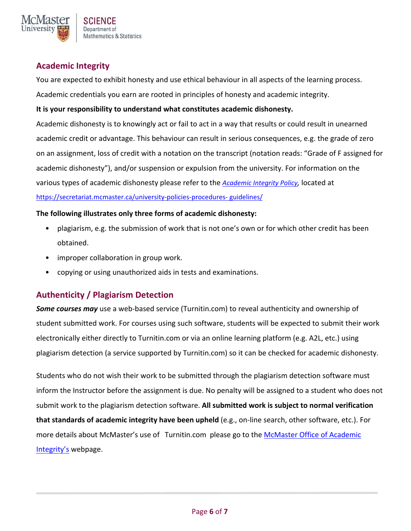

# **Academic Integrity**

You are expected to exhibit honesty and use ethical behaviour in all aspects of the learning process.

Academic credentials you earn are rooted in principles of honesty and academic integrity.

#### **It is your responsibility to understand what constitutes academic dishonesty.**

Academic dishonesty is to knowingly act or fail to act in a way that results or could result in unearned academic credit or advantage. This behaviour can result in serious consequences, e.g. the grade of zero on an assignment, loss of credit with a notation on the transcript (notation reads: "Grade of F assigned for academic dishonesty"), and/or suspension or expulsion from the university. For information on the various types of academic dishonesty please refer to the *Academic Integrity Policy,* located at https://secretariat.mcmaster.ca/university-policies-procedures- guidelines/

#### **The following illustrates only three forms of academic dishonesty:**

- plagiarism, e.g. the submission of work that is not one's own or for which other credit has been obtained.
- improper collaboration in group work.
- copying or using unauthorized aids in tests and examinations.

# **Authenticity / Plagiarism Detection**

**Some courses may** use a web-based service (Turnitin.com) to reveal authenticity and ownership of student submitted work. For courses using such software, students will be expected to submit their work electronically either directly to Turnitin.com or via an online learning platform (e.g. A2L, etc.) using plagiarism detection (a service supported by Turnitin.com) so it can be checked for academic dishonesty.

Students who do not wish their work to be submitted through the plagiarism detection software must inform the Instructor before the assignment is due. No penalty will be assigned to a student who does not submit work to the plagiarism detection software. **All submitted work is subject to normal verification that standards of academic integrity have been upheld** (e.g., on‐line search, other software, etc.). For more details about McMaster's use of Turnitin.com please go to the McMaster Office of Academic Integrity's webpage.